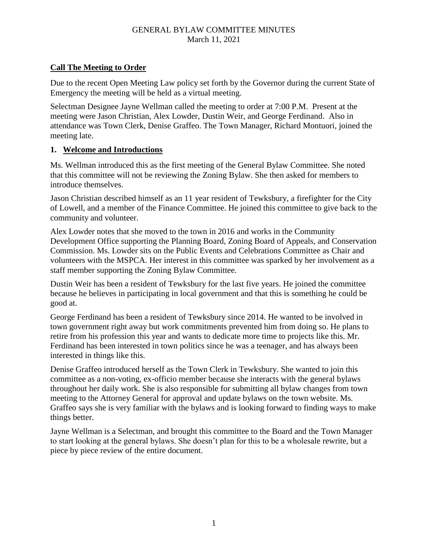### GENERAL BYLAW COMMITTEE MINUTES March 11, 2021

# **Call The Meeting to Order**

Due to the recent Open Meeting Law policy set forth by the Governor during the current State of Emergency the meeting will be held as a virtual meeting.

Selectman Designee Jayne Wellman called the meeting to order at 7:00 P.M. Present at the meeting were Jason Christian, Alex Lowder, Dustin Weir, and George Ferdinand. Also in attendance was Town Clerk, Denise Graffeo. The Town Manager, Richard Montuori, joined the meeting late.

#### **1. Welcome and Introductions**

Ms. Wellman introduced this as the first meeting of the General Bylaw Committee. She noted that this committee will not be reviewing the Zoning Bylaw. She then asked for members to introduce themselves.

Jason Christian described himself as an 11 year resident of Tewksbury, a firefighter for the City of Lowell, and a member of the Finance Committee. He joined this committee to give back to the community and volunteer.

Alex Lowder notes that she moved to the town in 2016 and works in the Community Development Office supporting the Planning Board, Zoning Board of Appeals, and Conservation Commission. Ms. Lowder sits on the Public Events and Celebrations Committee as Chair and volunteers with the MSPCA. Her interest in this committee was sparked by her involvement as a staff member supporting the Zoning Bylaw Committee.

Dustin Weir has been a resident of Tewksbury for the last five years. He joined the committee because he believes in participating in local government and that this is something he could be good at.

George Ferdinand has been a resident of Tewksbury since 2014. He wanted to be involved in town government right away but work commitments prevented him from doing so. He plans to retire from his profession this year and wants to dedicate more time to projects like this. Mr. Ferdinand has been interested in town politics since he was a teenager, and has always been interested in things like this.

Denise Graffeo introduced herself as the Town Clerk in Tewksbury. She wanted to join this committee as a non-voting, ex-officio member because she interacts with the general bylaws throughout her daily work. She is also responsible for submitting all bylaw changes from town meeting to the Attorney General for approval and update bylaws on the town website. Ms. Graffeo says she is very familiar with the bylaws and is looking forward to finding ways to make things better.

Jayne Wellman is a Selectman, and brought this committee to the Board and the Town Manager to start looking at the general bylaws. She doesn't plan for this to be a wholesale rewrite, but a piece by piece review of the entire document.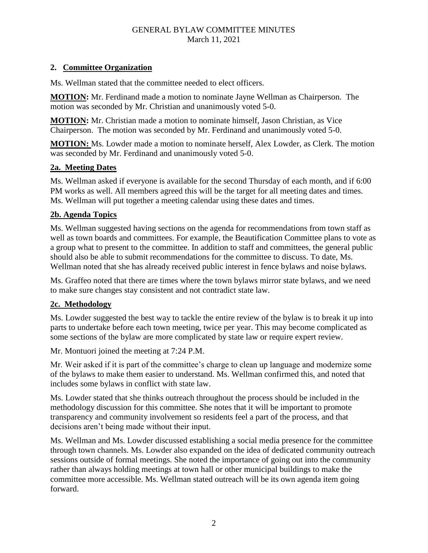## GENERAL BYLAW COMMITTEE MINUTES March 11, 2021

#### **2. Committee Organization**

Ms. Wellman stated that the committee needed to elect officers.

**MOTION:** Mr. Ferdinand made a motion to nominate Jayne Wellman as Chairperson. The motion was seconded by Mr. Christian and unanimously voted 5-0.

**MOTION:** Mr. Christian made a motion to nominate himself, Jason Christian, as Vice Chairperson. The motion was seconded by Mr. Ferdinand and unanimously voted 5-0.

**MOTION:** Ms. Lowder made a motion to nominate herself, Alex Lowder, as Clerk. The motion was seconded by Mr. Ferdinand and unanimously voted 5-0.

# **2a. Meeting Dates**

Ms. Wellman asked if everyone is available for the second Thursday of each month, and if 6:00 PM works as well. All members agreed this will be the target for all meeting dates and times. Ms. Wellman will put together a meeting calendar using these dates and times.

## **2b. Agenda Topics**

Ms. Wellman suggested having sections on the agenda for recommendations from town staff as well as town boards and committees. For example, the Beautification Committee plans to vote as a group what to present to the committee. In addition to staff and committees, the general public should also be able to submit recommendations for the committee to discuss. To date, Ms. Wellman noted that she has already received public interest in fence bylaws and noise bylaws.

Ms. Graffeo noted that there are times where the town bylaws mirror state bylaws, and we need to make sure changes stay consistent and not contradict state law.

# **2c. Methodology**

Ms. Lowder suggested the best way to tackle the entire review of the bylaw is to break it up into parts to undertake before each town meeting, twice per year. This may become complicated as some sections of the bylaw are more complicated by state law or require expert review.

Mr. Montuori joined the meeting at 7:24 P.M.

Mr. Weir asked if it is part of the committee's charge to clean up language and modernize some of the bylaws to make them easier to understand. Ms. Wellman confirmed this, and noted that includes some bylaws in conflict with state law.

Ms. Lowder stated that she thinks outreach throughout the process should be included in the methodology discussion for this committee. She notes that it will be important to promote transparency and community involvement so residents feel a part of the process, and that decisions aren't being made without their input.

Ms. Wellman and Ms. Lowder discussed establishing a social media presence for the committee through town channels. Ms. Lowder also expanded on the idea of dedicated community outreach sessions outside of formal meetings. She noted the importance of going out into the community rather than always holding meetings at town hall or other municipal buildings to make the committee more accessible. Ms. Wellman stated outreach will be its own agenda item going forward.